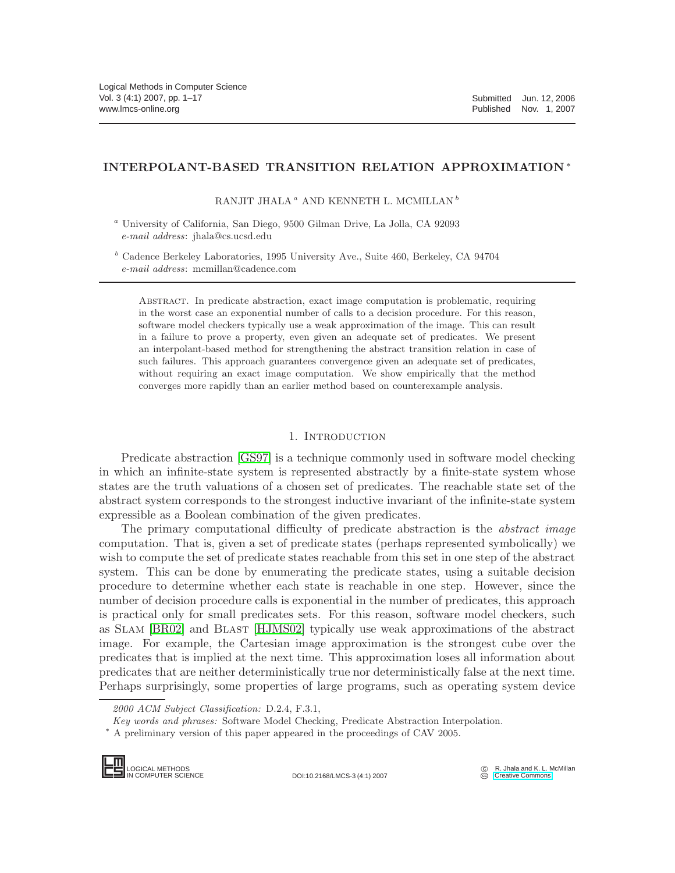## INTERPOLANT-BASED TRANSITION RELATION APPROXIMATION <sup>∗</sup>

RANJIT JHALA $^a$  AND KENNETH L. MCMILLAN  $^b$ 

<sup>a</sup> University of California, San Diego, 9500 Gilman Drive, La Jolla, CA 92093 *e-mail address*: jhala@cs.ucsd.edu

 $b$  Cadence Berkeley Laboratories, 1995 University Ave., Suite 460, Berkeley, CA 94704 *e-mail address*: mcmillan@cadence.com

Abstract. In predicate abstraction, exact image computation is problematic, requiring in the worst case an exponential number of calls to a decision procedure. For this reason, software model checkers typically use a weak approximation of the image. This can result in a failure to prove a property, even given an adequate set of predicates. We present an interpolant-based method for strengthening the abstract transition relation in case of such failures. This approach guarantees convergence given an adequate set of predicates, without requiring an exact image computation. We show empirically that the method converges more rapidly than an earlier method based on counterexample analysis.

## 1. INTRODUCTION

Predicate abstraction [\[GS97\]](#page-15-0) is a technique commonly used in software model checking in which an infinite-state system is represented abstractly by a finite-state system whose states are the truth valuations of a chosen set of predicates. The reachable state set of the abstract system corresponds to the strongest inductive invariant of the infinite-state system expressible as a Boolean combination of the given predicates.

The primary computational difficulty of predicate abstraction is the *abstract image* computation. That is, given a set of predicate states (perhaps represented symbolically) we wish to compute the set of predicate states reachable from this set in one step of the abstract system. This can be done by enumerating the predicate states, using a suitable decision procedure to determine whether each state is reachable in one step. However, since the number of decision procedure calls is exponential in the number of predicates, this approach is practical only for small predicates sets. For this reason, software model checkers, such as Slam [\[BR02\]](#page-15-1) and Blast [\[HJMS02\]](#page-15-2) typically use weak approximations of the abstract image. For example, the Cartesian image approximation is the strongest cube over the predicates that is implied at the next time. This approximation loses all information about predicates that are neither deterministically true nor deterministically false at the next time. Perhaps surprisingly, some properties of large programs, such as operating system device

*2000 ACM Subject Classification:* D.2.4, F.3.1,

*Key words and phrases:* Software Model Checking, Predicate Abstraction Interpolation.

<sup>∗</sup> A preliminary version of this paper appeared in the proceedings of CAV 2005.



IN COMPUTER SCIENCE DOI:10.2168/LMCS-3 (4:1) 2007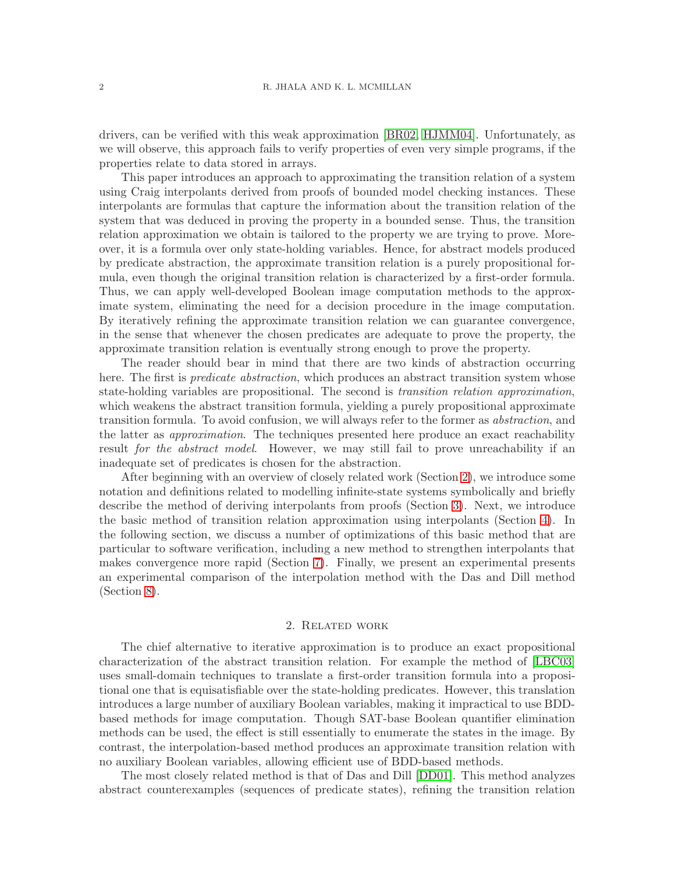drivers, can be verified with this weak approximation [\[BR02,](#page-15-1) [HJMM04\]](#page-15-3). Unfortunately, as we will observe, this approach fails to verify properties of even very simple programs, if the properties relate to data stored in arrays.

This paper introduces an approach to approximating the transition relation of a system using Craig interpolants derived from proofs of bounded model checking instances. These interpolants are formulas that capture the information about the transition relation of the system that was deduced in proving the property in a bounded sense. Thus, the transition relation approximation we obtain is tailored to the property we are trying to prove. Moreover, it is a formula over only state-holding variables. Hence, for abstract models produced by predicate abstraction, the approximate transition relation is a purely propositional formula, even though the original transition relation is characterized by a first-order formula. Thus, we can apply well-developed Boolean image computation methods to the approximate system, eliminating the need for a decision procedure in the image computation. By iteratively refining the approximate transition relation we can guarantee convergence, in the sense that whenever the chosen predicates are adequate to prove the property, the approximate transition relation is eventually strong enough to prove the property.

The reader should bear in mind that there are two kinds of abstraction occurring here. The first is *predicate abstraction*, which produces an abstract transition system whose state-holding variables are propositional. The second is transition relation approximation, which weakens the abstract transition formula, yielding a purely propositional approximate transition formula. To avoid confusion, we will always refer to the former as abstraction, and the latter as *approximation*. The techniques presented here produce an exact reachability result for the abstract model. However, we may still fail to prove unreachability if an inadequate set of predicates is chosen for the abstraction.

After beginning with an overview of closely related work (Section [2\)](#page-1-0), we introduce some notation and definitions related to modelling infinite-state systems symbolically and briefly describe the method of deriving interpolants from proofs (Section [3\)](#page-2-0). Next, we introduce the basic method of transition relation approximation using interpolants (Section [4\)](#page-3-0). In the following section, we discuss a number of optimizations of this basic method that are particular to software verification, including a new method to strengthen interpolants that makes convergence more rapid (Section [7\)](#page-9-0). Finally, we present an experimental presents an experimental comparison of the interpolation method with the Das and Dill method (Section [8\)](#page-12-0).

#### 2. Related work

<span id="page-1-0"></span>The chief alternative to iterative approximation is to produce an exact propositional characterization of the abstract transition relation. For example the method of [\[LBC03\]](#page-15-4) uses small-domain techniques to translate a first-order transition formula into a propositional one that is equisatisfiable over the state-holding predicates. However, this translation introduces a large number of auxiliary Boolean variables, making it impractical to use BDDbased methods for image computation. Though SAT-base Boolean quantifier elimination methods can be used, the effect is still essentially to enumerate the states in the image. By contrast, the interpolation-based method produces an approximate transition relation with no auxiliary Boolean variables, allowing efficient use of BDD-based methods.

The most closely related method is that of Das and Dill [DD01]. This method analyzes abstract counterexamples (sequences of predicate states), refining the transition relation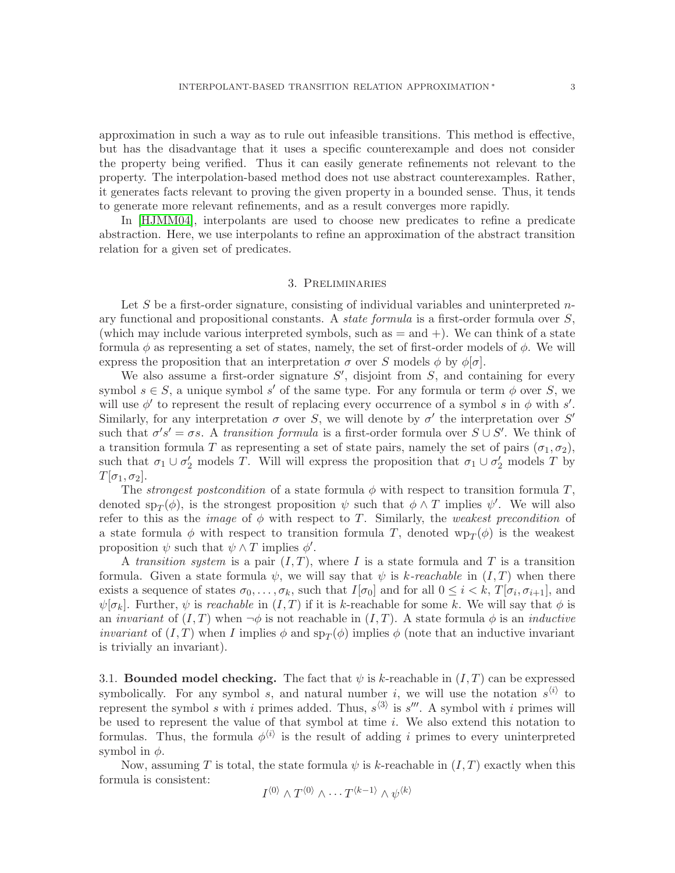approximation in such a way as to rule out infeasible transitions. This method is effective, but has the disadvantage that it uses a specific counterexample and does not consider the property being verified. Thus it can easily generate refinements not relevant to the property. The interpolation-based method does not use abstract counterexamples. Rather, it generates facts relevant to proving the given property in a bounded sense. Thus, it tends to generate more relevant refinements, and as a result converges more rapidly.

In [\[HJMM04\]](#page-15-3), interpolants are used to choose new predicates to refine a predicate abstraction. Here, we use interpolants to refine an approximation of the abstract transition relation for a given set of predicates.

#### 3. Preliminaries

<span id="page-2-0"></span>Let S be a first-order signature, consisting of individual variables and uninterpreted  $n$ ary functional and propositional constants. A *state formula* is a first-order formula over  $S$ , (which may include various interpreted symbols, such as  $=$  and  $+$ ). We can think of a state formula  $\phi$  as representing a set of states, namely, the set of first-order models of  $\phi$ . We will express the proposition that an interpretation  $\sigma$  over S models  $\phi$  by  $\phi[\sigma]$ .

We also assume a first-order signature  $S'$ , disjoint from  $S$ , and containing for every symbol  $s \in S$ , a unique symbol s' of the same type. For any formula or term  $\phi$  over S, we will use  $\phi'$  to represent the result of replacing every occurrence of a symbol s in  $\phi$  with s'. Similarly, for any interpretation  $\sigma$  over S, we will denote by  $\sigma'$  the interpretation over S' such that  $\sigma's' = \sigma s$ . A transition formula is a first-order formula over  $S \cup S'$ . We think of a transition formula T as representing a set of state pairs, namely the set of pairs  $(\sigma_1, \sigma_2)$ , such that  $\sigma_1 \cup \sigma_2'$  models T. Will will express the proposition that  $\sigma_1 \cup \sigma_2'$  models T by  $T[\sigma_1, \sigma_2]$ .

The strongest postcondition of a state formula  $\phi$  with respect to transition formula T, denoted sp<sub>T</sub>( $\phi$ ), is the strongest proposition  $\psi$  such that  $\phi \wedge T$  implies  $\psi'$ . We will also refer to this as the *image* of  $\phi$  with respect to T. Similarly, the *weakest precondition* of a state formula  $\phi$  with respect to transition formula T, denoted  $wp_T(\phi)$  is the weakest proposition  $\psi$  such that  $\psi \wedge T$  implies  $\phi'$ .

A transition system is a pair  $(I, T)$ , where I is a state formula and T is a transition formula. Given a state formula  $\psi$ , we will say that  $\psi$  is k-reachable in  $(I, T)$  when there exists a sequence of states  $\sigma_0, \ldots, \sigma_k$ , such that  $I[\sigma_0]$  and for all  $0 \leq i \leq k$ ,  $T[\sigma_i, \sigma_{i+1}]$ , and  $\psi[\sigma_k]$ . Further,  $\psi$  is reachable in  $(I, T)$  if it is k-reachable for some k. We will say that  $\phi$  is an invariant of  $(I, T)$  when  $\neg \phi$  is not reachable in  $(I, T)$ . A state formula  $\phi$  is an *inductive invariant* of  $(I, T)$  when I implies  $\phi$  and  $sp_T(\phi)$  implies  $\phi$  (note that an inductive invariant is trivially an invariant).

3.1. **Bounded model checking.** The fact that  $\psi$  is k-reachable in  $(I, T)$  can be expressed symbolically. For any symbol s, and natural number i, we will use the notation  $s^{\langle i \rangle}$  to represent the symbol s with i primes added. Thus,  $s^{(3)}$  is s'''. A symbol with i primes will be used to represent the value of that symbol at time  $i$ . We also extend this notation to formulas. Thus, the formula  $\phi^{(i)}$  is the result of adding i primes to every uninterpreted symbol in  $\phi$ .

Now, assuming T is total, the state formula  $\psi$  is k-reachable in  $(I, T)$  exactly when this formula is consistent:

$$
I^{\langle 0 \rangle} \wedge T^{\langle 0 \rangle} \wedge \cdots T^{\langle k-1 \rangle} \wedge \psi^{\langle k \rangle}
$$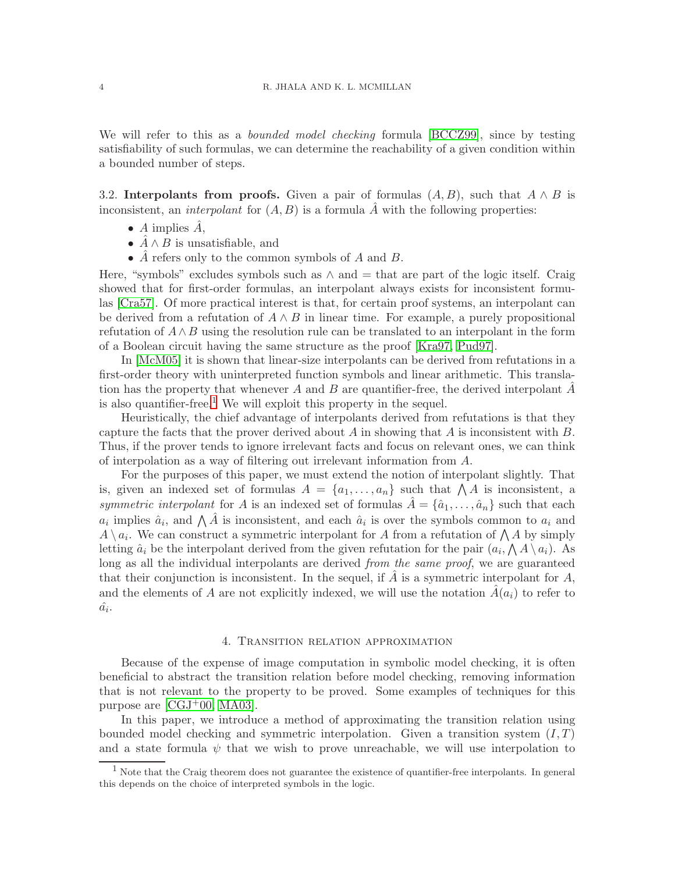We will refer to this as a *bounded model checking* formula [\[BCCZ99\]](#page-15-5), since by testing satisfiability of such formulas, we can determine the reachability of a given condition within a bounded number of steps.

3.2. Interpolants from proofs. Given a pair of formulas  $(A, B)$ , such that  $A \wedge B$  is inconsistent, an *interpolant* for  $(A, B)$  is a formula A with the following properties:

- A implies  $A$ ,
- $\hat{A} \wedge B$  is unsatisfiable, and
- $\hat{A}$  refers only to the common symbols of  $A$  and  $B$ .

Here, "symbols" excludes symbols such as  $\wedge$  and  $=$  that are part of the logic itself. Craig showed that for first-order formulas, an interpolant always exists for inconsistent formulas [\[Cra57\]](#page-15-6). Of more practical interest is that, for certain proof systems, an interpolant can be derived from a refutation of  $A \wedge B$  in linear time. For example, a purely propositional refutation of  $A \wedge B$  using the resolution rule can be translated to an interpolant in the form of a Boolean circuit having the same structure as the proof [\[Kra97,](#page-15-7) [Pud97\]](#page-16-0).

In [\[McM05\]](#page-16-1) it is shown that linear-size interpolants can be derived from refutations in a first-order theory with uninterpreted function symbols and linear arithmetic. This translation has the property that whenever A and B are quantifier-free, the derived interpolant  $\hat{A}$ is also quantifier-free.<sup>[1](#page-3-1)</sup> We will exploit this property in the sequel.

Heuristically, the chief advantage of interpolants derived from refutations is that they capture the facts that the prover derived about A in showing that A is inconsistent with  $B$ . Thus, if the prover tends to ignore irrelevant facts and focus on relevant ones, we can think of interpolation as a way of filtering out irrelevant information from A.

For the purposes of this paper, we must extend the notion of interpolant slightly. That is, given an indexed set of formulas  $A = \{a_1, \ldots, a_n\}$  such that  $\bigwedge A$  is inconsistent, a symmetric interpolant for A is an indexed set of formulas  $\hat{A} = \{\hat{a}_1, \ldots, \hat{a}_n\}$  such that each  $a_i$  implies  $\hat{a}_i$ , and  $\bigwedge \hat{A}$  is inconsistent, and each  $\hat{a}_i$  is over the symbols common to  $a_i$  and  $A \setminus a_i$ . We can construct a symmetric interpolant for A from a refutation of  $\bigwedge A$  by simply letting  $\hat{a}_i$  be the interpolant derived from the given refutation for the pair  $(a_i, \Lambda A \setminus a_i)$ . As long as all the individual interpolants are derived *from the same proof*, we are guaranteed that their conjunction is inconsistent. In the sequel, if A is a symmetric interpolant for  $A$ , and the elements of A are not explicitly indexed, we will use the notation  $A(a_i)$  to refer to  $\hat{a_i}$ .

#### 4. Transition relation approximation

<span id="page-3-0"></span>Because of the expense of image computation in symbolic model checking, it is often beneficial to abstract the transition relation before model checking, removing information that is not relevant to the property to be proved. Some examples of techniques for this purpose are [\[CGJ](#page-15-8)+00, [MA03\]](#page-15-9).

In this paper, we introduce a method of approximating the transition relation using bounded model checking and symmetric interpolation. Given a transition system  $(I, T)$ and a state formula  $\psi$  that we wish to prove unreachable, we will use interpolation to

<span id="page-3-1"></span> $1$  Note that the Craig theorem does not guarantee the existence of quantifier-free interpolants. In general this depends on the choice of interpreted symbols in the logic.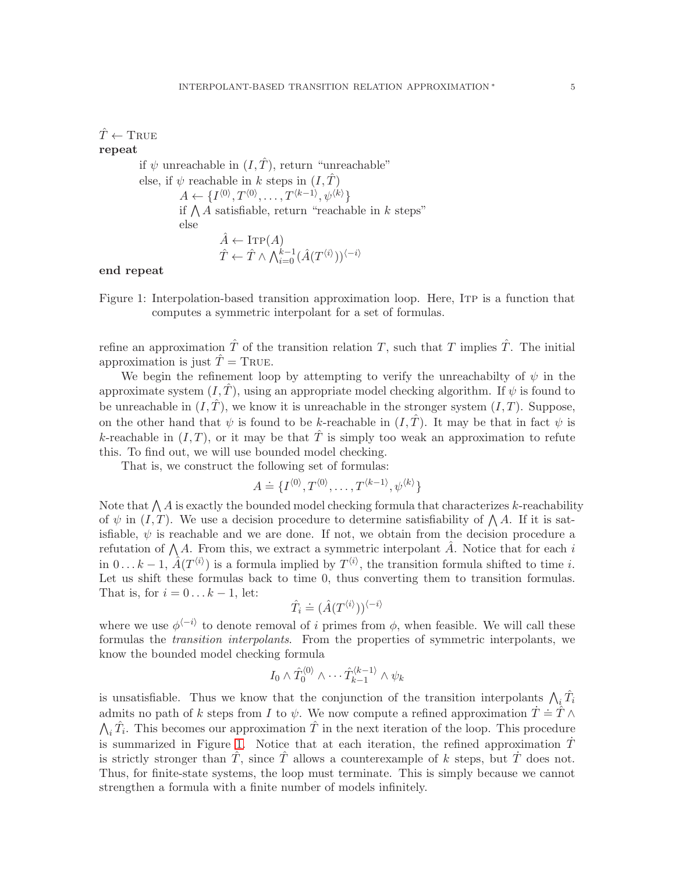# $\hat{T} \leftarrow \text{TRUE}$ repeat

if  $\psi$  unreachable in  $(I, \hat{T})$ , return "unreachable" else, if  $\psi$  reachable in k steps in  $(I, \hat{T})$  $A \leftarrow \{I^{\langle 0 \rangle}, T^{\langle 0 \rangle}, \dots, T^{\langle k-1 \rangle}, \psi^{\langle k \rangle}\}$ if  $\bigwedge A$  satisfiable, return "reachable in k steps" else  $\hat{A} \leftarrow \text{ITP}(A)$  $\hat{T} \leftarrow \hat{T} \wedge \bigwedge_{i=0}^{k-1} (\hat{A}(T^{\langle i \rangle}))^{\langle -i \rangle}$ 

## end repeat

<span id="page-4-0"></span>Figure 1: Interpolation-based transition approximation loop. Here, ITP is a function that computes a symmetric interpolant for a set of formulas.

refine an approximation  $\hat{T}$  of the transition relation T, such that T implies  $\hat{T}$ . The initial approximation is just  $\hat{T} = \text{TRUE}.$ 

We begin the refinement loop by attempting to verify the unreachabilty of  $\psi$  in the approximate system  $(I, T)$ , using an appropriate model checking algorithm. If  $\psi$  is found to be unreachable in  $(I, \hat{T})$ , we know it is unreachable in the stronger system  $(I, T)$ . Suppose, on the other hand that  $\psi$  is found to be k-reachable in  $(I, \hat{T})$ . It may be that in fact  $\psi$  is k-reachable in  $(I, T)$ , or it may be that  $\hat{T}$  is simply too weak an approximation to refute this. To find out, we will use bounded model checking.

That is, we construct the following set of formulas:

 $A \doteq \{I^{\langle 0 \rangle}, T^{\langle 0 \rangle}, \dots, T^{\langle k-1 \rangle}, \psi^{\langle k \rangle}\}$ 

Note that  $\bigwedge A$  is exactly the bounded model checking formula that characterizes k-reachability of  $\psi$  in  $(I, T)$ . We use a decision procedure to determine satisfiability of  $\bigwedge A$ . If it is satisfiable,  $\psi$  is reachable and we are done. If not, we obtain from the decision procedure a refutation of  $\bigwedge A$ . From this, we extract a symmetric interpolant  $\hat{A}$ . Notice that for each i in  $0... k-1$ ,  $\hat{A}(T^{\langle i \rangle})$  is a formula implied by  $T^{\langle i \rangle}$ , the transition formula shifted to time *i*. Let us shift these formulas back to time 0, thus converting them to transition formulas. That is, for  $i = 0 \dots k - 1$ , let:

$$
\hat{T}_i \doteq (\hat{A}(T^{\langle i \rangle}))^{\langle -i \rangle}
$$

where we use  $\phi^{\langle -i \rangle}$  to denote removal of i primes from  $\phi$ , when feasible. We will call these formulas the *transition interpolants*. From the properties of symmetric interpolants, we know the bounded model checking formula

$$
I_0 \wedge \hat{T}_0^{\langle 0 \rangle} \wedge \cdots \hat{T}_{k-1}^{\langle k-1 \rangle} \wedge \psi_k
$$

is unsatisfiable. Thus we know that the conjunction of the transition interpolants  $\bigwedge_i \hat{T}_i$ admits no path of k steps from I to  $\psi$ . We now compute a refined approximation  $\dot{T} = \hat{T} \wedge \hat{T}$  $\bigwedge_i \hat{T}_i$ . This becomes our approximation  $\hat{T}$  in the next iteration of the loop. This procedure is summarized in Figure [1.](#page-4-0) Notice that at each iteration, the refined approximation  $\dot{T}$ is strictly stronger than  $\hat{T}$ , since  $\hat{T}$  allows a counterexample of k steps, but  $\hat{T}$  does not. Thus, for finite-state systems, the loop must terminate. This is simply because we cannot strengthen a formula with a finite number of models infinitely.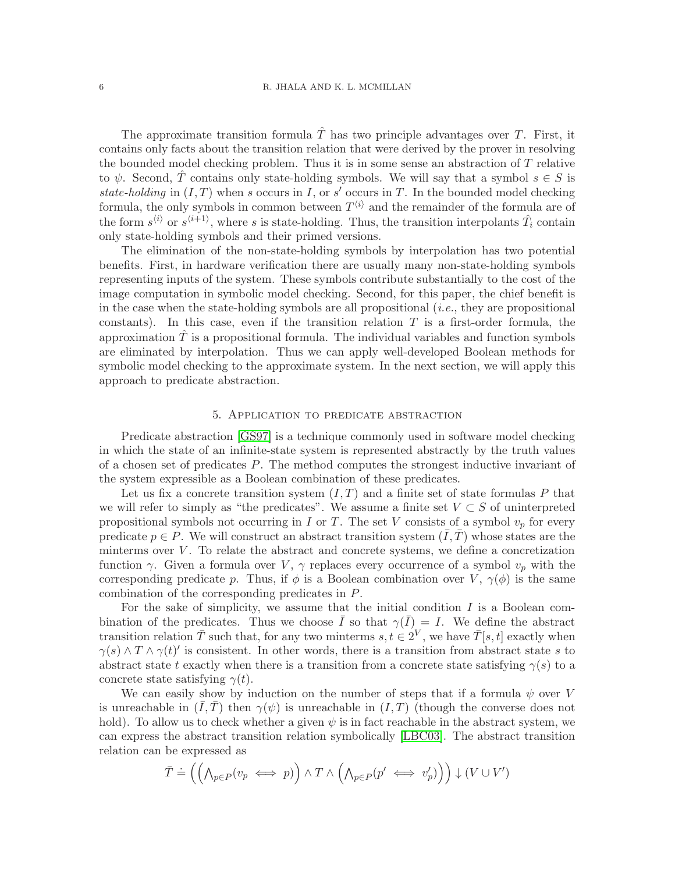The approximate transition formula  $\hat{T}$  has two principle advantages over T. First, it contains only facts about the transition relation that were derived by the prover in resolving the bounded model checking problem. Thus it is in some sense an abstraction of  $T$  relative to  $\psi$ . Second, T contains only state-holding symbols. We will say that a symbol  $s \in S$  is state-holding in  $(I, T)$  when s occurs in I, or s' occurs in T. In the bounded model checking formula, the only symbols in common between  $T^{\langle i \rangle}$  and the remainder of the formula are of the form  $s^{(i)}$  or  $s^{(i+1)}$ , where s is state-holding. Thus, the transition interpolants  $\hat{T}_i$  contain only state-holding symbols and their primed versions.

The elimination of the non-state-holding symbols by interpolation has two potential benefits. First, in hardware verification there are usually many non-state-holding symbols representing inputs of the system. These symbols contribute substantially to the cost of the image computation in symbolic model checking. Second, for this paper, the chief benefit is in the case when the state-holding symbols are all propositional  $(i.e.,$  they are propositional constants). In this case, even if the transition relation  $T$  is a first-order formula, the approximation  $\hat{T}$  is a propositional formula. The individual variables and function symbols are eliminated by interpolation. Thus we can apply well-developed Boolean methods for symbolic model checking to the approximate system. In the next section, we will apply this approach to predicate abstraction.

#### 5. Application to predicate abstraction

Predicate abstraction [\[GS97\]](#page-15-0) is a technique commonly used in software model checking in which the state of an infinite-state system is represented abstractly by the truth values of a chosen set of predicates P. The method computes the strongest inductive invariant of the system expressible as a Boolean combination of these predicates.

Let us fix a concrete transition system  $(I, T)$  and a finite set of state formulas P that we will refer to simply as "the predicates". We assume a finite set  $V \subset S$  of uninterpreted propositional symbols not occurring in I or T. The set V consists of a symbol  $v_p$  for every predicate  $p \in P$ . We will construct an abstract transition system  $(I, T)$  whose states are the minterms over  $V$ . To relate the abstract and concrete systems, we define a concretization function  $\gamma$ . Given a formula over V,  $\gamma$  replaces every occurrence of a symbol  $v_p$  with the corresponding predicate p. Thus, if  $\phi$  is a Boolean combination over  $V$ ,  $\gamma(\phi)$  is the same combination of the corresponding predicates in P.

For the sake of simplicity, we assume that the initial condition  $I$  is a Boolean combination of the predicates. Thus we choose  $\overline{I}$  so that  $\gamma(\overline{I}) = I$ . We define the abstract transition relation  $\overline{T}$  such that, for any two minterms  $s, t \in 2^V$ , we have  $\overline{T}[s, t]$  exactly when  $\gamma(s) \wedge T \wedge \gamma(t)'$  is consistent. In other words, there is a transition from abstract state s to abstract state t exactly when there is a transition from a concrete state satisfying  $\gamma(s)$  to a concrete state satisfying  $\gamma(t)$ .

We can easily show by induction on the number of steps that if a formula  $\psi$  over V is unreachable in  $(I, T)$  then  $\gamma(\psi)$  is unreachable in  $(I, T)$  (though the converse does not hold). To allow us to check whether a given  $\psi$  is in fact reachable in the abstract system, we can express the abstract transition relation symbolically [\[LBC03\]](#page-15-4). The abstract transition relation can be expressed as

$$
\bar{T} \doteq \left( \left( \bigwedge_{p \in P} (v_p \iff p) \right) \land T \land \left( \bigwedge_{p \in P} (p' \iff v'_p) \right) \right) \downarrow (V \cup V')
$$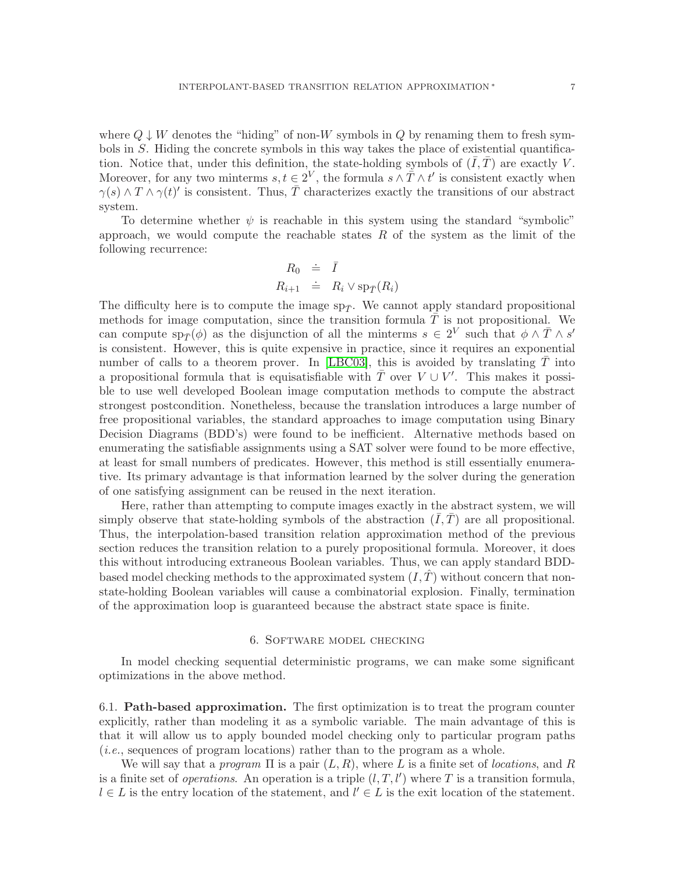where  $Q \downarrow W$  denotes the "hiding" of non-W symbols in Q by renaming them to fresh symbols in S. Hiding the concrete symbols in this way takes the place of existential quantification. Notice that, under this definition, the state-holding symbols of  $(\overline{I}, \overline{T})$  are exactly V. Moreover, for any two minterms  $s, t \in 2^V$ , the formula  $s \wedge \overline{T} \wedge t'$  is consistent exactly when  $\gamma(s) \wedge T \wedge \gamma(t)'$  is consistent. Thus,  $\overline{T}$  characterizes exactly the transitions of our abstract system.

To determine whether  $\psi$  is reachable in this system using the standard "symbolic" approach, we would compute the reachable states  $R$  of the system as the limit of the following recurrence:

$$
R_0 \doteq \bar{I}
$$
  

$$
R_{i+1} \doteq R_i \vee \text{sp}_{\bar{T}}(R_i)
$$

The difficulty here is to compute the image  $sp_{\overline{T}}$ . We cannot apply standard propositional methods for image computation, since the transition formula  $T$  is not propositional. We can compute  $\text{sp}_{\bar{T}}(\phi)$  as the disjunction of all the minterms  $s \in 2^V$  such that  $\phi \wedge \bar{T} \wedge s'$ is consistent. However, this is quite expensive in practice, since it requires an exponential number of calls to a theorem prover. In [\[LBC03\]](#page-15-4), this is avoided by translating  $\overline{T}$  into a propositional formula that is equisatisfiable with  $\overline{T}$  over  $V \cup V'$ . This makes it possible to use well developed Boolean image computation methods to compute the abstract strongest postcondition. Nonetheless, because the translation introduces a large number of free propositional variables, the standard approaches to image computation using Binary Decision Diagrams (BDD's) were found to be inefficient. Alternative methods based on enumerating the satisfiable assignments using a SAT solver were found to be more effective, at least for small numbers of predicates. However, this method is still essentially enumerative. Its primary advantage is that information learned by the solver during the generation of one satisfying assignment can be reused in the next iteration.

Here, rather than attempting to compute images exactly in the abstract system, we will simply observe that state-holding symbols of the abstraction  $(I, T)$  are all propositional. Thus, the interpolation-based transition relation approximation method of the previous section reduces the transition relation to a purely propositional formula. Moreover, it does this without introducing extraneous Boolean variables. Thus, we can apply standard BDDbased model checking methods to the approximated system  $(I, \tilde{T})$  without concern that nonstate-holding Boolean variables will cause a combinatorial explosion. Finally, termination of the approximation loop is guaranteed because the abstract state space is finite.

#### 6. Software model checking

In model checking sequential deterministic programs, we can make some significant optimizations in the above method.

6.1. Path-based approximation. The first optimization is to treat the program counter explicitly, rather than modeling it as a symbolic variable. The main advantage of this is that it will allow us to apply bounded model checking only to particular program paths (i.e., sequences of program locations) rather than to the program as a whole.

We will say that a *program*  $\Pi$  is a pair  $(L, R)$ , where L is a finite set of *locations*, and R is a finite set of *operations*. An operation is a triple  $(l, T, l')$  where T is a transition formula,  $l \in L$  is the entry location of the statement, and  $l' \in L$  is the exit location of the statement.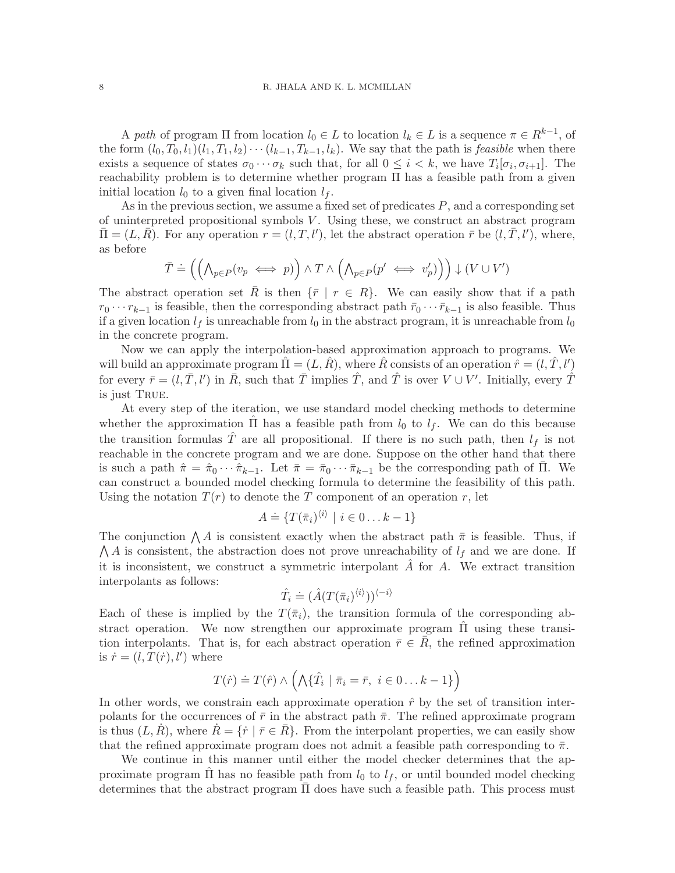A path of program  $\Pi$  from location  $l_0 \in L$  to location  $l_k \in L$  is a sequence  $\pi \in R^{k-1}$ , of the form  $(l_0, T_0, l_1)(l_1, T_1, l_2)\cdots(l_{k-1}, T_{k-1}, l_k)$ . We say that the path is *feasible* when there exists a sequence of states  $\sigma_0 \cdots \sigma_k$  such that, for all  $0 \leq i < k$ , we have  $T_i[\sigma_i, \sigma_{i+1}]$ . The reachability problem is to determine whether program Π has a feasible path from a given initial location  $l_0$  to a given final location  $l_f$ .

As in the previous section, we assume a fixed set of predicates  $P$ , and a corresponding set of uninterpreted propositional symbols  $V$ . Using these, we construct an abstract program  $\bar{\Pi} = (L, \bar{R})$ . For any operation  $r = (l, T, l')$ , let the abstract operation  $\bar{r}$  be  $(l, \bar{T}, l')$ , where, as before

$$
\bar{T} \doteq \left( \left( \bigwedge_{p \in P} (v_p \iff p) \right) \land T \land \left( \bigwedge_{p \in P} (p' \iff v'_p) \right) \right) \downarrow (V \cup V')
$$

The abstract operation set  $\overline{R}$  is then  $\{\overline{r} \mid r \in R\}$ . We can easily show that if a path  $r_0 \cdots r_{k-1}$  is feasible, then the corresponding abstract path  $\bar{r}_0 \cdots \bar{r}_{k-1}$  is also feasible. Thus if a given location  $l_f$  is unreachable from  $l_0$  in the abstract program, it is unreachable from  $l_0$ in the concrete program.

Now we can apply the interpolation-based approximation approach to programs. We will build an approximate program  $\hat{\Pi} = (L, \hat{R})$ , where  $\hat{R}$  consists of an operation  $\hat{r} = (l, \hat{T}, l')$ for every  $\bar{r} = (l, \bar{T}, l')$  in  $\bar{R}$ , such that  $\bar{T}$  implies  $\hat{T}$ , and  $\hat{T}$  is over  $V \cup V'$ . Initially, every  $\hat{T}$ is just True.

At every step of the iteration, we use standard model checking methods to determine whether the approximation  $\Pi$  has a feasible path from  $l_0$  to  $l_f$ . We can do this because the transition formulas  $\hat{T}$  are all propositional. If there is no such path, then  $l_f$  is not reachable in the concrete program and we are done. Suppose on the other hand that there is such a path  $\hat{\pi} = \hat{\pi}_0 \cdots \hat{\pi}_{k-1}$ . Let  $\bar{\pi} = \bar{\pi}_0 \cdots \bar{\pi}_{k-1}$  be the corresponding path of  $\Pi$ . We can construct a bounded model checking formula to determine the feasibility of this path. Using the notation  $T(r)$  to denote the T component of an operation r, let

$$
A \doteq \{ T(\bar{\pi}_i)^{\langle i \rangle} \mid i \in 0 \dots k-1 \}
$$

The conjunction  $\bigwedge A$  is consistent exactly when the abstract path  $\bar{\pi}$  is feasible. Thus, if  $\bigwedge A$  is consistent, the abstraction does not prove unreachability of  $l_f$  and we are done. If it is inconsistent, we construct a symmetric interpolant  $\hat{A}$  for  $A$ . We extract transition interpolants as follows:

$$
\hat{T}_i \doteq (\hat{A}(T(\bar{\pi}_i)^{\langle i \rangle}))^{\langle -i \rangle}
$$

Each of these is implied by the  $T(\bar{\pi}_i)$ , the transition formula of the corresponding abstract operation. We now strengthen our approximate program  $\Pi$  using these transition interpolants. That is, for each abstract operation  $\bar{r} \in \bar{R}$ , the refined approximation is  $\dot{r} = (l, T(\dot{r}), l')$  where

$$
T(\dot{r}) \doteq T(\hat{r}) \wedge \left(\bigwedge \{\hat{T}_i \mid \bar{\pi}_i = \bar{r}, \ i \in 0 \dots k-1\}\right)
$$

In other words, we constrain each approximate operation  $\hat{r}$  by the set of transition interpolants for the occurrences of  $\bar{r}$  in the abstract path  $\bar{\pi}$ . The refined approximate program is thus  $(L, R)$ , where  $\overline{R} = \{ \overline{r} \mid \overline{r} \in \overline{R} \}$ . From the interpolant properties, we can easily show that the refined approximate program does not admit a feasible path corresponding to  $\bar{\pi}$ .

We continue in this manner until either the model checker determines that the approximate program  $\Pi$  has no feasible path from  $l_0$  to  $l_f$ , or until bounded model checking determines that the abstract program  $\overline{\Pi}$  does have such a feasible path. This process must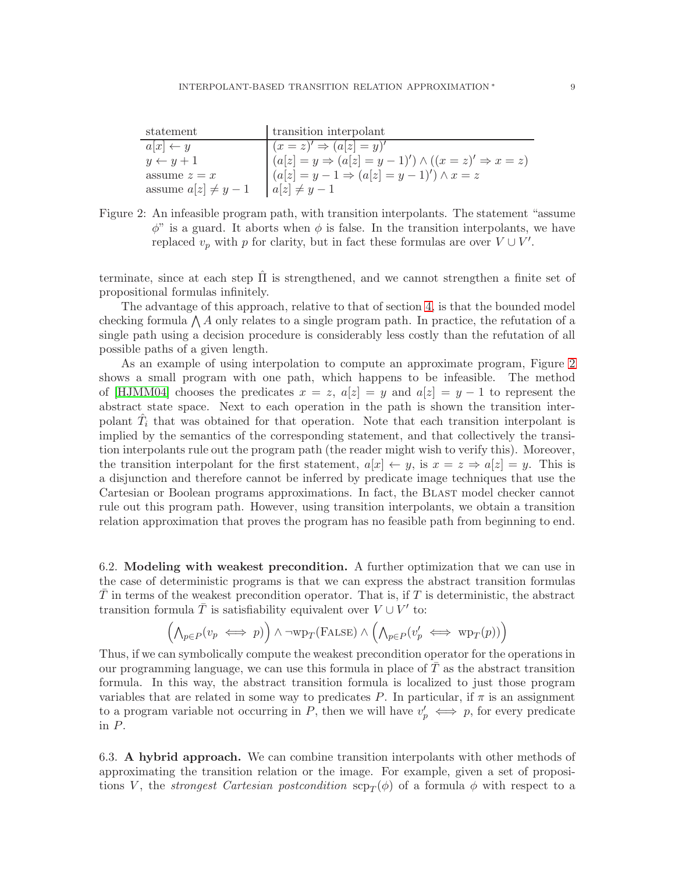| statement              | transition interpolant                                                                    |
|------------------------|-------------------------------------------------------------------------------------------|
| $a[x] \leftarrow y$    | $(x = z)' \Rightarrow (a[z] = y)'$                                                        |
| $y \leftarrow y + 1$   | $\left( a[z] = y \Rightarrow (a[z] = y - 1)' \right) \wedge ((x = z)' \Rightarrow x = z)$ |
| assume $z = x$         | $\left( a(z) = y - 1 \Rightarrow (a(z) = y - 1)' \right) \wedge x = z$                    |
| assume $a[z] \neq y-1$ | $ a z  \neq y-1$                                                                          |

<span id="page-8-0"></span>Figure 2: An infeasible program path, with transition interpolants. The statement "assume  $\phi$ " is a guard. It aborts when  $\phi$  is false. In the transition interpolants, we have replaced  $v_p$  with p for clarity, but in fact these formulas are over  $V \cup V'$ .

terminate, since at each step  $\hat{\Pi}$  is strengthened, and we cannot strengthen a finite set of propositional formulas infinitely.

The advantage of this approach, relative to that of section [4,](#page-3-0) is that the bounded model checking formula  $\bigwedge A$  only relates to a single program path. In practice, the refutation of a single path using a decision procedure is considerably less costly than the refutation of all possible paths of a given length.

As an example of using interpolation to compute an approximate program, Figure [2](#page-8-0) shows a small program with one path, which happens to be infeasible. The method of [\[HJMM04\]](#page-15-3) chooses the predicates  $x = z$ ,  $a[z] = y$  and  $a[z] = y - 1$  to represent the abstract state space. Next to each operation in the path is shown the transition interpolant  $\hat{T}_i$  that was obtained for that operation. Note that each transition interpolant is implied by the semantics of the corresponding statement, and that collectively the transition interpolants rule out the program path (the reader might wish to verify this). Moreover, the transition interpolant for the first statement,  $a[x] \leftarrow y$ , is  $x = z \Rightarrow a[z] = y$ . This is a disjunction and therefore cannot be inferred by predicate image techniques that use the Cartesian or Boolean programs approximations. In fact, the BLAST model checker cannot rule out this program path. However, using transition interpolants, we obtain a transition relation approximation that proves the program has no feasible path from beginning to end.

6.2. Modeling with weakest precondition. A further optimization that we can use in the case of deterministic programs is that we can express the abstract transition formulas  $\overline{T}$  in terms of the weakest precondition operator. That is, if T is deterministic, the abstract transition formula  $\overline{T}$  is satisfiability equivalent over  $V \cup V'$  to:

$$
\Big(\textstyle\bigwedge_{p\in P}(v_p\iff p)\Big) \land \neg \text{wp}_T(\text{FALSE}) \land \Big(\textstyle\bigwedge_{p\in P}(v'_p\iff \text{wp}_T(p))\Big)
$$

Thus, if we can symbolically compute the weakest precondition operator for the operations in our programming language, we can use this formula in place of  $\overline{T}$  as the abstract transition formula. In this way, the abstract transition formula is localized to just those program variables that are related in some way to predicates P. In particular, if  $\pi$  is an assignment to a program variable not occurring in P, then we will have  $v'_p \iff p$ , for every predicate in P.

6.3. A hybrid approach. We can combine transition interpolants with other methods of approximating the transition relation or the image. For example, given a set of propositions V, the *strongest Cartesian postcondition*  $\text{scp}_T(\phi)$  of a formula  $\phi$  with respect to a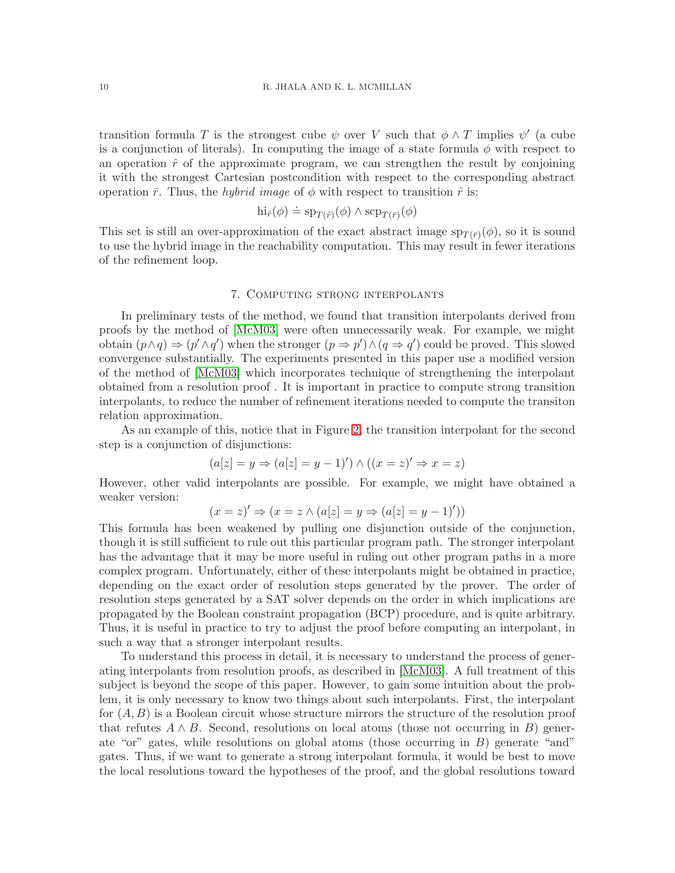transition formula T is the strongest cube  $\psi$  over V such that  $\phi \wedge T$  implies  $\psi'$  (a cube is a conjunction of literals). In computing the image of a state formula  $\phi$  with respect to an operation  $\hat{r}$  of the approximate program, we can strengthen the result by conjoining it with the strongest Cartesian postcondition with respect to the corresponding abstract operation  $\bar{r}$ . Thus, the *hybrid image* of  $\phi$  with respect to transition  $\hat{r}$  is:

$$
\mathrm{hi}_{\hat{r}}(\phi) \doteq \mathrm{sp}_{T(\hat{r})}(\phi) \wedge \mathrm{scp}_{T(\bar{r})}(\phi)
$$

This set is still an over-approximation of the exact abstract image  $\text{sp}_{T(\bar{r})}(\phi)$ , so it is sound to use the hybrid image in the reachability computation. This may result in fewer iterations of the refinement loop.

#### 7. Computing strong interpolants

<span id="page-9-0"></span>In preliminary tests of the method, we found that transition interpolants derived from proofs by the method of [\[McM03\]](#page-16-2) were often unnecessarily weak. For example, we might obtain  $(p \land q) \Rightarrow (p' \land q')$  when the stronger  $(p \Rightarrow p') \land (q \Rightarrow q')$  could be proved. This slowed convergence substantially. The experiments presented in this paper use a modified version of the method of [\[McM03\]](#page-16-2) which incorporates technique of strengthening the interpolant obtained from a resolution proof . It is important in practice to compute strong transition interpolants, to reduce the number of refinement iterations needed to compute the transiton relation approximation.

As an example of this, notice that in Figure [2,](#page-8-0) the transition interpolant for the second step is a conjunction of disjunctions:

$$
(a[z] = y \Rightarrow (a[z] = y - 1)') \land ((x = z)' \Rightarrow x = z)
$$

However, other valid interpolants are possible. For example, we might have obtained a weaker version:

$$
(x = z)' \Rightarrow (x = z \land (a[z] = y \Rightarrow (a[z] = y - 1)'))
$$

This formula has been weakened by pulling one disjunction outside of the conjunction, though it is still sufficient to rule out this particular program path. The stronger interpolant has the advantage that it may be more useful in ruling out other program paths in a more complex program. Unfortunately, either of these interpolants might be obtained in practice, depending on the exact order of resolution steps generated by the prover. The order of resolution steps generated by a SAT solver depends on the order in which implications are propagated by the Boolean constraint propagation (BCP) procedure, and is quite arbitrary. Thus, it is useful in practice to try to adjust the proof before computing an interpolant, in such a way that a stronger interpolant results.

To understand this process in detail, it is necessary to understand the process of generating interpolants from resolution proofs, as described in [\[McM03\]](#page-16-2). A full treatment of this subject is beyond the scope of this paper. However, to gain some intuition about the problem, it is only necessary to know two things about such interpolants. First, the interpolant for  $(A, B)$  is a Boolean circuit whose structure mirrors the structure of the resolution proof that refutes  $A \wedge B$ . Second, resolutions on local atoms (those not occurring in B) generate "or" gates, while resolutions on global atoms (those occurring in  $B$ ) generate "and" gates. Thus, if we want to generate a strong interpolant formula, it would be best to move the local resolutions toward the hypotheses of the proof, and the global resolutions toward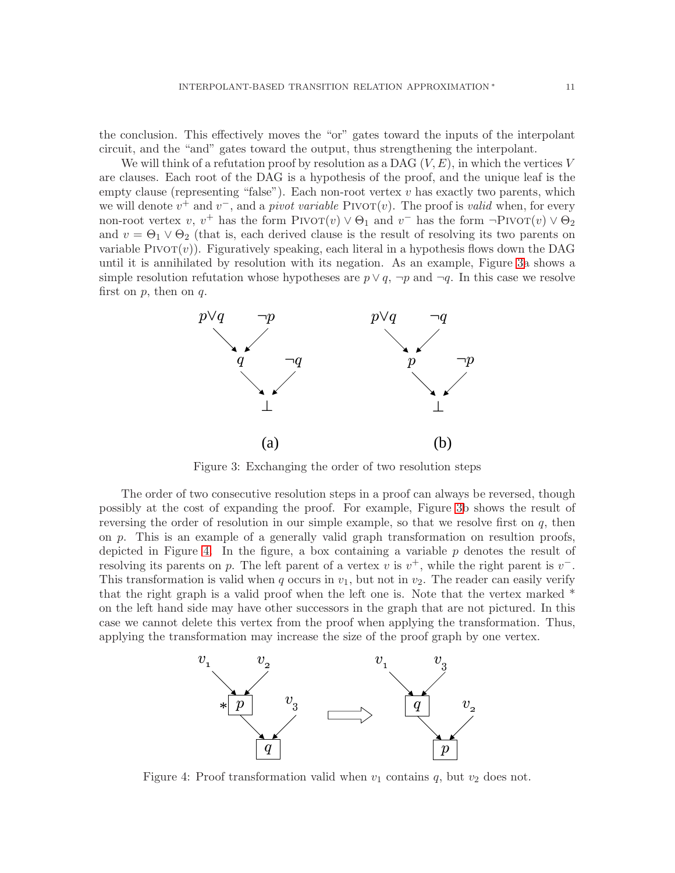the conclusion. This effectively moves the "or" gates toward the inputs of the interpolant circuit, and the "and" gates toward the output, thus strengthening the interpolant.

We will think of a refutation proof by resolution as a DAG  $(V, E)$ , in which the vertices V are clauses. Each root of the DAG is a hypothesis of the proof, and the unique leaf is the empty clause (representing "false"). Each non-root vertex  $v$  has exactly two parents, which we will denote  $v^+$  and  $v^-$ , and a *pivot variable* PIVOT $(v)$ . The proof is *valid* when, for every non-root vertex  $v, v^+$  has the form PIVOT $(v) \vee \Theta_1$  and  $v^-$  has the form  $\neg$ PIVOT $(v) \vee \Theta_2$ and  $v = \Theta_1 \vee \Theta_2$  (that is, each derived clause is the result of resolving its two parents on variable  $\text{Pivor}(v)$ ). Figuratively speaking, each literal in a hypothesis flows down the DAG until it is annihilated by resolution with its negation. As an example, Figure [3a](#page-10-0) shows a simple resolution refutation whose hypotheses are  $p \vee q$ ,  $\neg p$  and  $\neg q$ . In this case we resolve first on  $p$ , then on  $q$ .



<span id="page-10-0"></span>Figure 3: Exchanging the order of two resolution steps

The order of two consecutive resolution steps in a proof can always be reversed, though possibly at the cost of expanding the proof. For example, Figure [3b](#page-10-0) shows the result of reversing the order of resolution in our simple example, so that we resolve first on  $q$ , then on  $p$ . This is an example of a generally valid graph transformation on resultion proofs, depicted in Figure [4.](#page-10-1) In the figure, a box containing a variable  $p$  denotes the result of resolving its parents on p. The left parent of a vertex v is  $v^+$ , while the right parent is  $v^-$ . This transformation is valid when q occurs in  $v_1$ , but not in  $v_2$ . The reader can easily verify that the right graph is a valid proof when the left one is. Note that the vertex marked \* on the left hand side may have other successors in the graph that are not pictured. In this case we cannot delete this vertex from the proof when applying the transformation. Thus, applying the transformation may increase the size of the proof graph by one vertex.



<span id="page-10-1"></span>Figure 4: Proof transformation valid when  $v_1$  contains q, but  $v_2$  does not.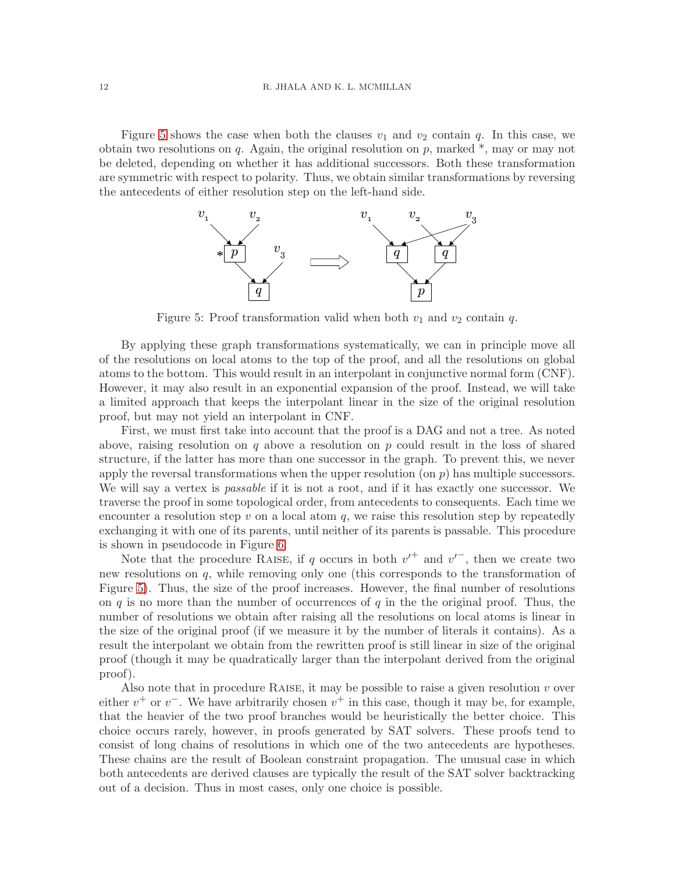Figure [5](#page-11-0) shows the case when both the clauses  $v_1$  and  $v_2$  contain q. In this case, we obtain two resolutions on q. Again, the original resolution on  $p$ , marked  $*$ , may or may not be deleted, depending on whether it has additional successors. Both these transformation are symmetric with respect to polarity. Thus, we obtain similar transformations by reversing the antecedents of either resolution step on the left-hand side.



<span id="page-11-0"></span>Figure 5: Proof transformation valid when both  $v_1$  and  $v_2$  contain q.

By applying these graph transformations systematically, we can in principle move all of the resolutions on local atoms to the top of the proof, and all the resolutions on global atoms to the bottom. This would result in an interpolant in conjunctive normal form (CNF). However, it may also result in an exponential expansion of the proof. Instead, we will take a limited approach that keeps the interpolant linear in the size of the original resolution proof, but may not yield an interpolant in CNF.

First, we must first take into account that the proof is a DAG and not a tree. As noted above, raising resolution on q above a resolution on  $p$  could result in the loss of shared structure, if the latter has more than one successor in the graph. To prevent this, we never apply the reversal transformations when the upper resolution (on  $p$ ) has multiple successors. We will say a vertex is *passable* if it is not a root, and if it has exactly one successor. We traverse the proof in some topological order, from antecedents to consequents. Each time we encounter a resolution step v on a local atom q, we raise this resolution step by repeatedly exchanging it with one of its parents, until neither of its parents is passable. This procedure is shown in pseudocode in Figure [6.](#page-12-1)

Note that the procedure RAISE, if q occurs in both  $v'^+$  and  $v'^-$ , then we create two new resolutions on q, while removing only one (this corresponds to the transformation of Figure [5\)](#page-11-0). Thus, the size of the proof increases. However, the final number of resolutions on q is no more than the number of occurrences of  $q$  in the the original proof. Thus, the number of resolutions we obtain after raising all the resolutions on local atoms is linear in the size of the original proof (if we measure it by the number of literals it contains). As a result the interpolant we obtain from the rewritten proof is still linear in size of the original proof (though it may be quadratically larger than the interpolant derived from the original proof).

Also note that in procedure RAISE, it may be possible to raise a given resolution  $v$  over either  $v^+$  or  $v^-$ . We have arbitrarily chosen  $v^+$  in this case, though it may be, for example, that the heavier of the two proof branches would be heuristically the better choice. This choice occurs rarely, however, in proofs generated by SAT solvers. These proofs tend to consist of long chains of resolutions in which one of the two antecedents are hypotheses. These chains are the result of Boolean constraint propagation. The unusual case in which both antecedents are derived clauses are typically the result of the SAT solver backtracking out of a decision. Thus in most cases, only one choice is possible.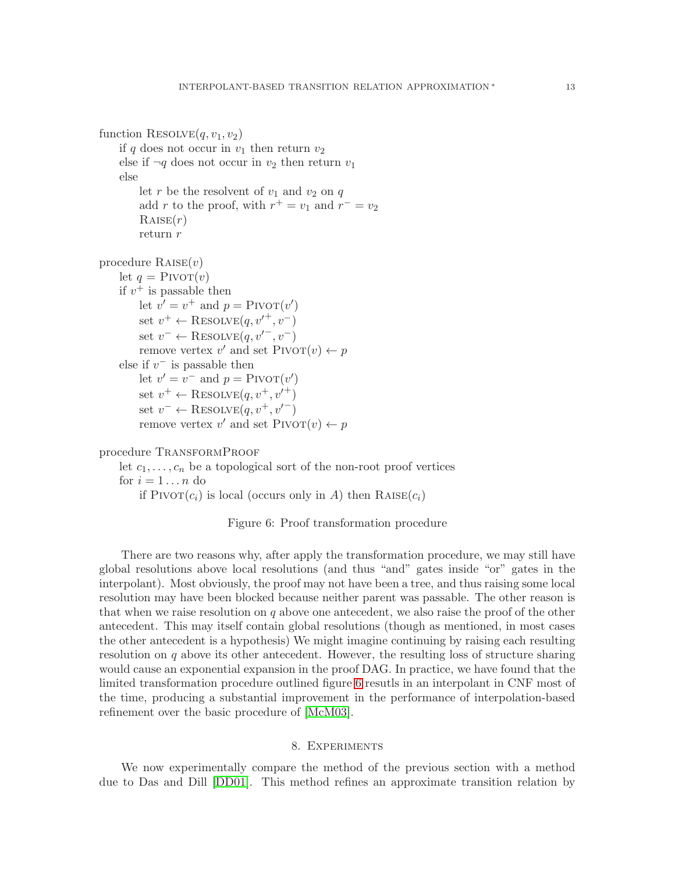```
function \text{ResOLVE}(q, v_1, v_2)if q does not occur in v_1 then return v_2else if \neg q does not occur in v_2 then return v_1else
        let r be the resolvent of v_1 and v_2 on q
         add r to the proof, with r^+ = v_1 and r^- = v_2\text{RAISE}(r)return r
procedure \text{RAISE}(v)let q = \text{Pivor}(v)if v^+ is passable then
         let v' = v^+ and p = \text{Pivor}(v')set v^+ \leftarrow RESOLVE(q, v'^+, v^-)set v^- ← RESOLVE(q, v'^{-}, v^-)remove vertex v' and set Pivor(v) \leftarrow pelse if v^- is passable then
         let v' = v^- and p = \text{Pivor}(v')set v^+ \leftarrow RESOLVE(q, v^+, v'^+)set v^- \leftarrow RESOLVE(q, v^+, v'^-)remove vertex v' and set Pivor(v) \leftarrow p
```
#### procedure TransformProof

let  $c_1, \ldots, c_n$  be a topological sort of the non-root proof vertices for  $i = 1 \ldots n$  do

if  $\text{Pivor}(c_i)$  is local (occurs only in A) then  $\text{Raise}(c_i)$ 

<span id="page-12-1"></span>Figure 6: Proof transformation procedure

There are two reasons why, after apply the transformation procedure, we may still have global resolutions above local resolutions (and thus "and" gates inside "or" gates in the interpolant). Most obviously, the proof may not have been a tree, and thus raising some local resolution may have been blocked because neither parent was passable. The other reason is that when we raise resolution on  $q$  above one antecedent, we also raise the proof of the other antecedent. This may itself contain global resolutions (though as mentioned, in most cases the other antecedent is a hypothesis) We might imagine continuing by raising each resulting resolution on  $q$  above its other antecedent. However, the resulting loss of structure sharing would cause an exponential expansion in the proof DAG. In practice, we have found that the limited transformation procedure outlined figure [6](#page-12-1) resutls in an interpolant in CNF most of the time, producing a substantial improvement in the performance of interpolation-based refinement over the basic procedure of [\[McM03\]](#page-16-2).

## 8. Experiments

<span id="page-12-0"></span>We now experimentally compare the method of the previous section with a method due to Das and Dill [DD01]. This method refines an approximate transition relation by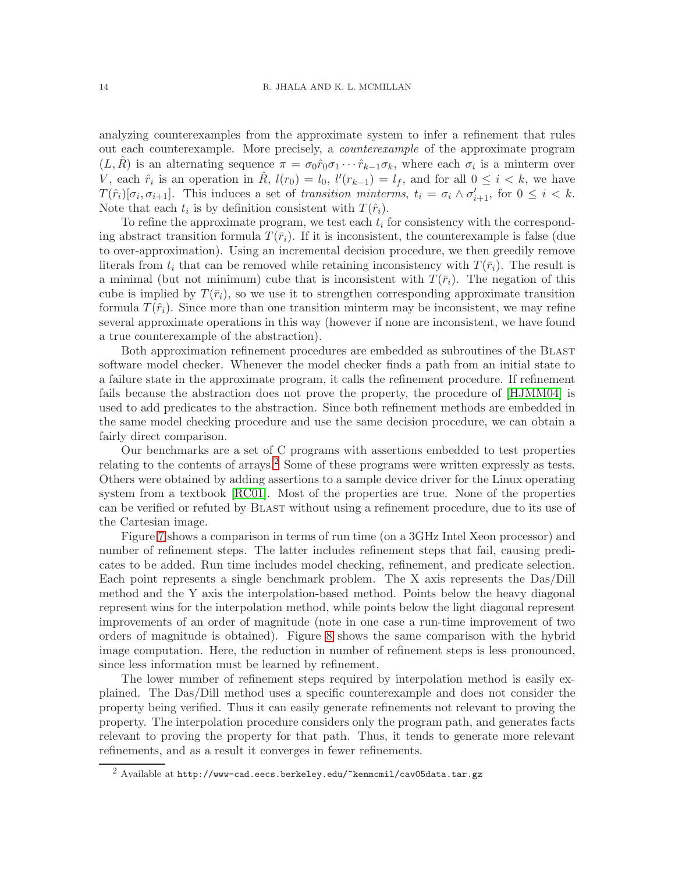analyzing counterexamples from the approximate system to infer a refinement that rules out each counterexample. More precisely, a counterexample of the approximate program  $(L, \hat{R})$  is an alternating sequence  $\pi = \sigma_0 \hat{r}_0 \sigma_1 \cdots \hat{r}_{k-1} \sigma_k$ , where each  $\sigma_i$  is a minterm over V, each  $\hat{r}_i$  is an operation in  $\hat{R}$ ,  $l(r_0) = l_0$ ,  $l'(r_{k-1}) = l_f$ , and for all  $0 \le i \le k$ , we have  $T(\hat{r}_i)[\sigma_i, \sigma_{i+1}]$ . This induces a set of transition minterms,  $t_i = \sigma_i \wedge \sigma'_{i+1}$ , for  $0 \leq i < k$ . Note that each  $t_i$  is by definition consistent with  $T(\hat{r}_i)$ .

To refine the approximate program, we test each  $t_i$  for consistency with the corresponding abstract transition formula  $T(\bar{r}_i)$ . If it is inconsistent, the counterexample is false (due to over-approximation). Using an incremental decision procedure, we then greedily remove literals from  $t_i$  that can be removed while retaining inconsistency with  $T(\bar{r}_i)$ . The result is a minimal (but not minimum) cube that is inconsistent with  $T(\bar{r}_i)$ . The negation of this cube is implied by  $T(\bar{r}_i)$ , so we use it to strengthen corresponding approximate transition formula  $T(\hat{r}_i)$ . Since more than one transition minterm may be inconsistent, we may refine several approximate operations in this way (however if none are inconsistent, we have found a true counterexample of the abstraction).

Both approximation refinement procedures are embedded as subroutines of the Blast software model checker. Whenever the model checker finds a path from an initial state to a failure state in the approximate program, it calls the refinement procedure. If refinement fails because the abstraction does not prove the property, the procedure of [\[HJMM04\]](#page-15-3) is used to add predicates to the abstraction. Since both refinement methods are embedded in the same model checking procedure and use the same decision procedure, we can obtain a fairly direct comparison.

Our benchmarks are a set of C programs with assertions embedded to test properties relating to the contents of arrays.<sup>[2](#page-13-0)</sup> Some of these programs were written expressly as tests. Others were obtained by adding assertions to a sample device driver for the Linux operating system from a textbook [\[RC01\]](#page-16-3). Most of the properties are true. None of the properties can be verified or refuted by Blast without using a refinement procedure, due to its use of the Cartesian image.

Figure [7](#page-14-0) shows a comparison in terms of run time (on a 3GHz Intel Xeon processor) and number of refinement steps. The latter includes refinement steps that fail, causing predicates to be added. Run time includes model checking, refinement, and predicate selection. Each point represents a single benchmark problem. The X axis represents the Das/Dill method and the Y axis the interpolation-based method. Points below the heavy diagonal represent wins for the interpolation method, while points below the light diagonal represent improvements of an order of magnitude (note in one case a run-time improvement of two orders of magnitude is obtained). Figure [8](#page-14-1) shows the same comparison with the hybrid image computation. Here, the reduction in number of refinement steps is less pronounced, since less information must be learned by refinement.

The lower number of refinement steps required by interpolation method is easily explained. The Das/Dill method uses a specific counterexample and does not consider the property being verified. Thus it can easily generate refinements not relevant to proving the property. The interpolation procedure considers only the program path, and generates facts relevant to proving the property for that path. Thus, it tends to generate more relevant refinements, and as a result it converges in fewer refinements.

<span id="page-13-0"></span> $^{2}$  Available at http://www-cad.eecs.berkeley.edu/~kenmcmil/cav05data.tar.gz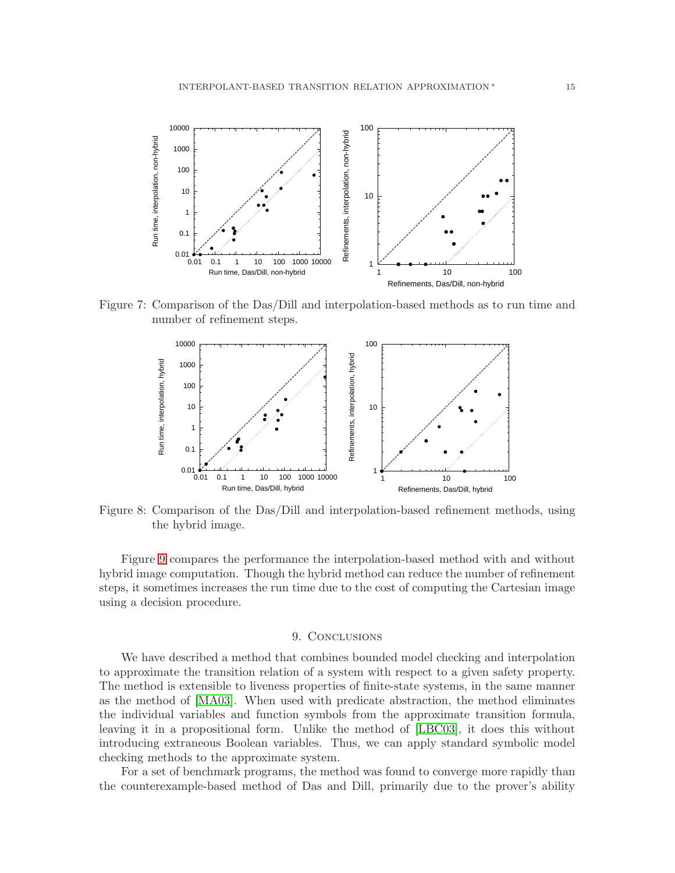

Figure 7: Comparison of the Das/Dill and interpolation-based methods as to run time and number of refinement steps.

<span id="page-14-0"></span>

<span id="page-14-1"></span>Figure 8: Comparison of the Das/Dill and interpolation-based refinement methods, using the hybrid image.

Figure [9](#page-15-10) compares the performance the interpolation-based method with and without hybrid image computation. Though the hybrid method can reduce the number of refinement steps, it sometimes increases the run time due to the cost of computing the Cartesian image using a decision procedure.

## 9. CONCLUSIONS

We have described a method that combines bounded model checking and interpolation to approximate the transition relation of a system with respect to a given safety property. The method is extensible to liveness properties of finite-state systems, in the same manner as the method of [\[MA03\]](#page-15-9). When used with predicate abstraction, the method eliminates the individual variables and function symbols from the approximate transition formula, leaving it in a propositional form. Unlike the method of [\[LBC03\]](#page-15-4), it does this without introducing extraneous Boolean variables. Thus, we can apply standard symbolic model checking methods to the approximate system.

For a set of benchmark programs, the method was found to converge more rapidly than the counterexample-based method of Das and Dill, primarily due to the prover's ability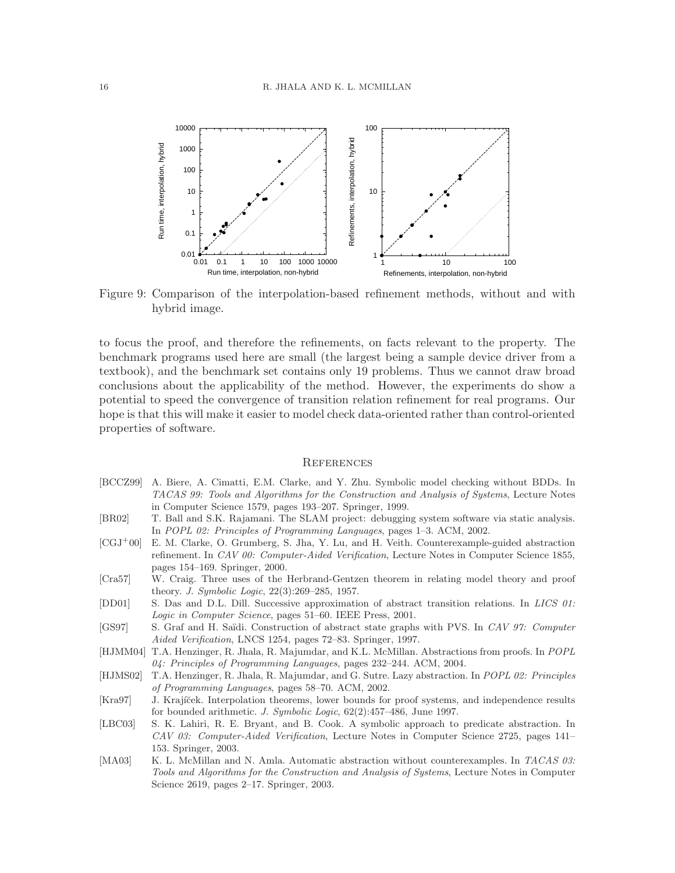

<span id="page-15-10"></span>Figure 9: Comparison of the interpolation-based refinement methods, without and with hybrid image.

to focus the proof, and therefore the refinements, on facts relevant to the property. The benchmark programs used here are small (the largest being a sample device driver from a textbook), and the benchmark set contains only 19 problems. Thus we cannot draw broad conclusions about the applicability of the method. However, the experiments do show a potential to speed the convergence of transition relation refinement for real programs. Our hope is that this will make it easier to model check data-oriented rather than control-oriented properties of software.

#### **REFERENCES**

<span id="page-15-9"></span><span id="page-15-8"></span><span id="page-15-7"></span><span id="page-15-6"></span><span id="page-15-5"></span><span id="page-15-4"></span><span id="page-15-3"></span><span id="page-15-2"></span><span id="page-15-1"></span><span id="page-15-0"></span>

| [BCCZ99]      | A. Biere, A. Cimatti, E.M. Clarke, and Y. Zhu. Symbolic model checking without BDDs. In                                                                               |
|---------------|-----------------------------------------------------------------------------------------------------------------------------------------------------------------------|
|               | TACAS 99: Tools and Algorithms for the Construction and Analysis of Systems, Lecture Notes                                                                            |
|               | in Computer Science 1579, pages 193–207. Springer, 1999.                                                                                                              |
| [BR02]        | T. Ball and S.K. Rajamani. The SLAM project: debugging system software via static analysis.<br>In POPL 02: Principles of Programming Languages, pages 1–3. ACM, 2002. |
| $[CGJ+00]$    | E. M. Clarke, O. Grumberg, S. Jha, Y. Lu, and H. Veith. Counterexample-guided abstraction                                                                             |
|               | refinement. In CAV 00: Computer-Aided Verification, Lecture Notes in Computer Science 1855,                                                                           |
|               | pages 154-169. Springer, 2000.                                                                                                                                        |
| [Cra57]       | W. Craig. Three uses of the Herbrand-Gentzen theorem in relating model theory and proof                                                                               |
|               | theory. <i>J. Symbolic Logic</i> , $22(3):269-285$ , 1957.                                                                                                            |
| [DD01]        | S. Das and D.L. Dill. Successive approximation of abstract transition relations. In LICS 01:                                                                          |
|               | Logic in Computer Science, pages 51–60. IEEE Press, 2001.                                                                                                             |
| [GS97]        | S. Graf and H. Saïdi. Construction of abstract state graphs with PVS. In CAV 97: Computer                                                                             |
|               | Aided Verification, LNCS 1254, pages 72–83. Springer, 1997.                                                                                                           |
| [HJMM04]      | T.A. Henzinger, R. Jhala, R. Majumdar, and K.L. McMillan. Abstractions from proofs. In <i>POPL</i>                                                                    |
|               | $04$ : Principles of Programming Languages, pages 232–244. ACM, 2004.                                                                                                 |
| [HJMS02]      | T.A. Henzinger, R. Jhala, R. Majumdar, and G. Sutre. Lazy abstraction. In POPL 02: Principles                                                                         |
|               | of Programming Languages, pages 58–70. ACM, 2002.                                                                                                                     |
| $\vert$ Kra97 | J. Krajíček. Interpolation theorems, lower bounds for proof systems, and independence results                                                                         |
|               | for bounded arithmetic. <i>J. Symbolic Logic</i> , $62(2):457-486$ , June 1997.                                                                                       |
| [LBC03]       | S. K. Lahiri, R. E. Bryant, and B. Cook. A symbolic approach to predicate abstraction. In                                                                             |
|               | <i>CAV 03: Computer-Aided Verification</i> , Lecture Notes in Computer Science 2725, pages 141–                                                                       |
|               | 153. Springer, 2003.                                                                                                                                                  |
| [MA03]        | K. L. McMillan and N. Amla. Automatic abstraction without counterexamples. In TACAS 03:                                                                               |
|               | Tools and Algorithms for the Construction and Analysis of Systems, Lecture Notes in Computer                                                                          |
|               | Science $2619$ , pages $2-17$ . Springer, 2003.                                                                                                                       |